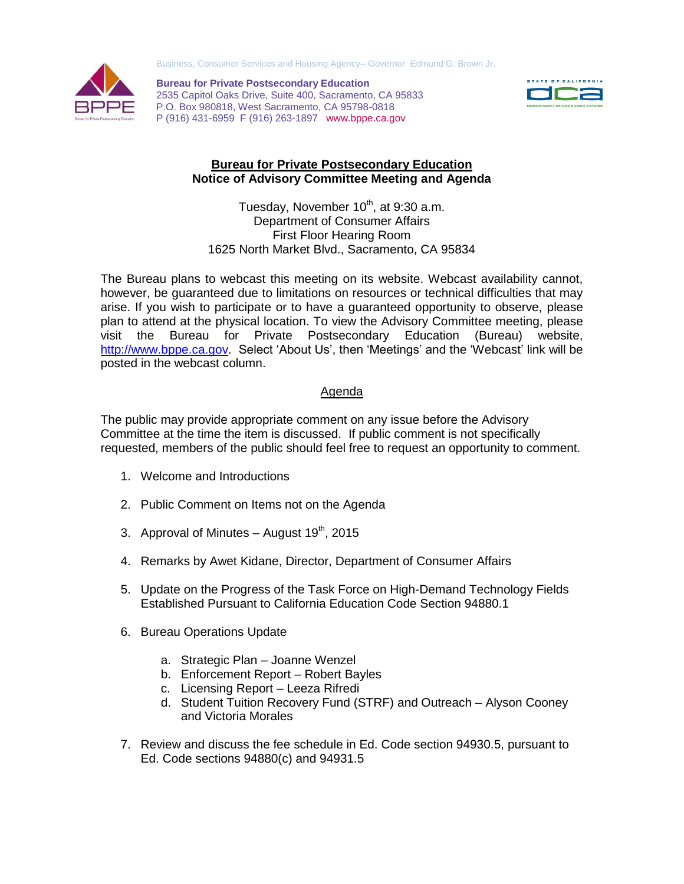Business, Consumer Services and Housing Agency– Governor Edmund G. Brown Jr.



**Bureau for Private Postsecondary Education** 2535 Capitol Oaks Drive, Suite 400, Sacramento, CA 95833 P.O. Box 980818, West Sacramento, CA 95798-0818 P (916) 431-6959 F (916) 263-1897 www.bppe.ca.gov



## **Bureau for Private Postsecondary Education Notice of Advisory Committee Meeting and Agenda**

Tuesday, November 10<sup>th</sup>, at 9:30 a.m. Department of Consumer Affairs First Floor Hearing Room 1625 North Market Blvd., Sacramento, CA 95834

The Bureau plans to webcast this meeting on its website. Webcast availability cannot, however, be guaranteed due to limitations on resources or technical difficulties that may arise. If you wish to participate or to have a guaranteed opportunity to observe, please plan to attend at the physical location. To view the Advisory Committee meeting, please visit the Bureau for Private Postsecondary Education (Bureau) website, [http://www.bppe.ca.gov.](http://www.bppe.ca.gov/) Select 'About Us', then 'Meetings' and the 'Webcast' link will be posted in the webcast column.

## Agenda

The public may provide appropriate comment on any issue before the Advisory Committee at the time the item is discussed. If public comment is not specifically requested, members of the public should feel free to request an opportunity to comment.

- 1. Welcome and Introductions
- 2. Public Comment on Items not on the Agenda
- 3. Approval of Minutes  $-$  August 19<sup>th</sup>, 2015
- 4. Remarks by Awet Kidane, Director, Department of Consumer Affairs
- 5. Update on the Progress of the Task Force on High-Demand Technology Fields Established Pursuant to California Education Code Section 94880.1
- 6. Bureau Operations Update
	- a. Strategic Plan Joanne Wenzel
	- b. Enforcement Report Robert Bayles
	- c. Licensing Report Leeza Rifredi
	- d. Student Tuition Recovery Fund (STRF) and Outreach Alyson Cooney and Victoria Morales
- 7. Review and discuss the fee schedule in Ed. Code section 94930.5, pursuant to Ed. Code sections 94880(c) and 94931.5